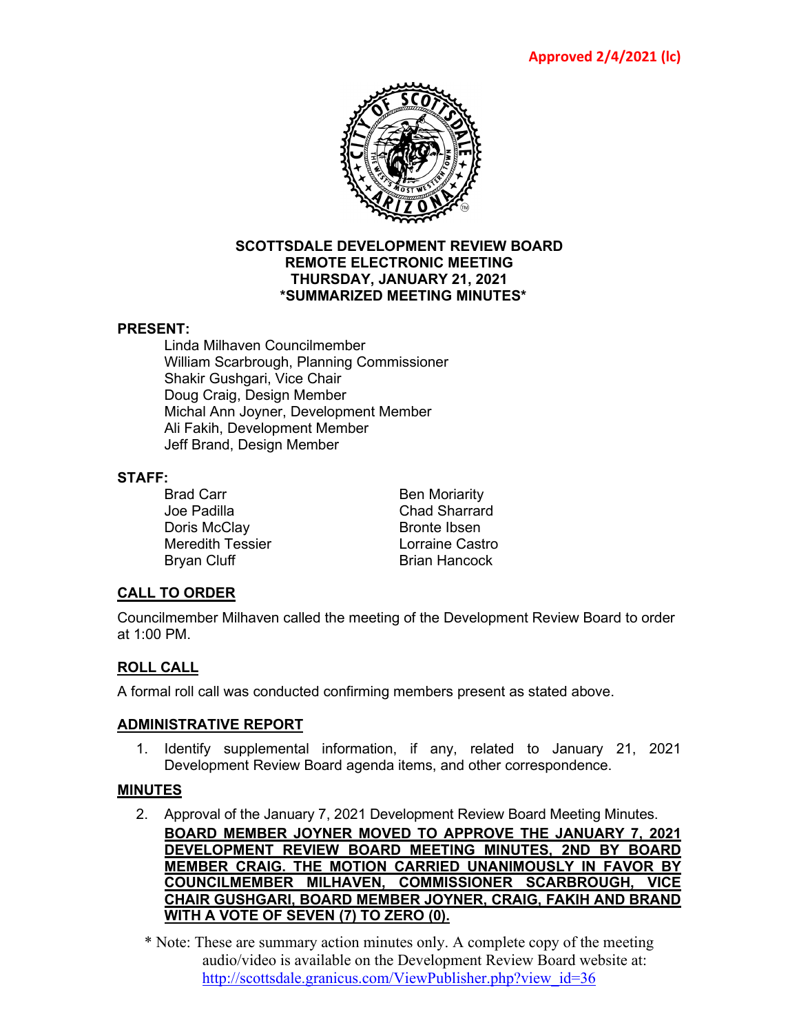

#### **SCOTTSDALE DEVELOPMENT REVIEW BOARD REMOTE ELECTRONIC MEETING THURSDAY, JANUARY 21, 2021 \*SUMMARIZED MEETING MINUTES\***

# **PRESENT:**

Linda Milhaven Councilmember William Scarbrough, Planning Commissioner Shakir Gushgari, Vice Chair Doug Craig, Design Member Michal Ann Joyner, Development Member Ali Fakih, Development Member Jeff Brand, Design Member

#### **STAFF:**

Joe Padilla Chad Sharrard Doris McClay Bronte Ibsen<br>Meredith Tessier Lorraine Castro Meredith Tessier Bryan Cluff **Brian Hancock** 

Brad Carr Ben Moriarity

# **CALL TO ORDER**

Councilmember Milhaven called the meeting of the Development Review Board to order at 1:00 PM.

# **ROLL CALL**

A formal roll call was conducted confirming members present as stated above.

# **ADMINISTRATIVE REPORT**

1. Identify supplemental information, if any, related to January 21, 2021 Development Review Board agenda items, and other correspondence.

# **MINUTES**

2. Approval of the January 7, 2021 Development Review Board Meeting Minutes. **BOARD MEMBER JOYNER MOVED TO APPROVE THE JANUARY 7, 2021 DEVELOPMENT REVIEW BOARD MEETING MINUTES, 2ND BY BOARD MEMBER CRAIG. THE MOTION CARRIED UNANIMOUSLY IN FAVOR BY COUNCILMEMBER MILHAVEN, COMMISSIONER SCARBROUGH, VICE CHAIR GUSHGARI, BOARD MEMBER JOYNER, CRAIG, FAKIH AND BRAND WITH A VOTE OF SEVEN (7) TO ZERO (0).**

\* Note: These are summary action minutes only. A complete copy of the meeting audio/video is available on the Development Review Board website at: [http://scottsdale.granicus.com/ViewPublisher.php?view\\_id=36](http://scottsdale.granicus.com/ViewPublisher.php?view_id=36)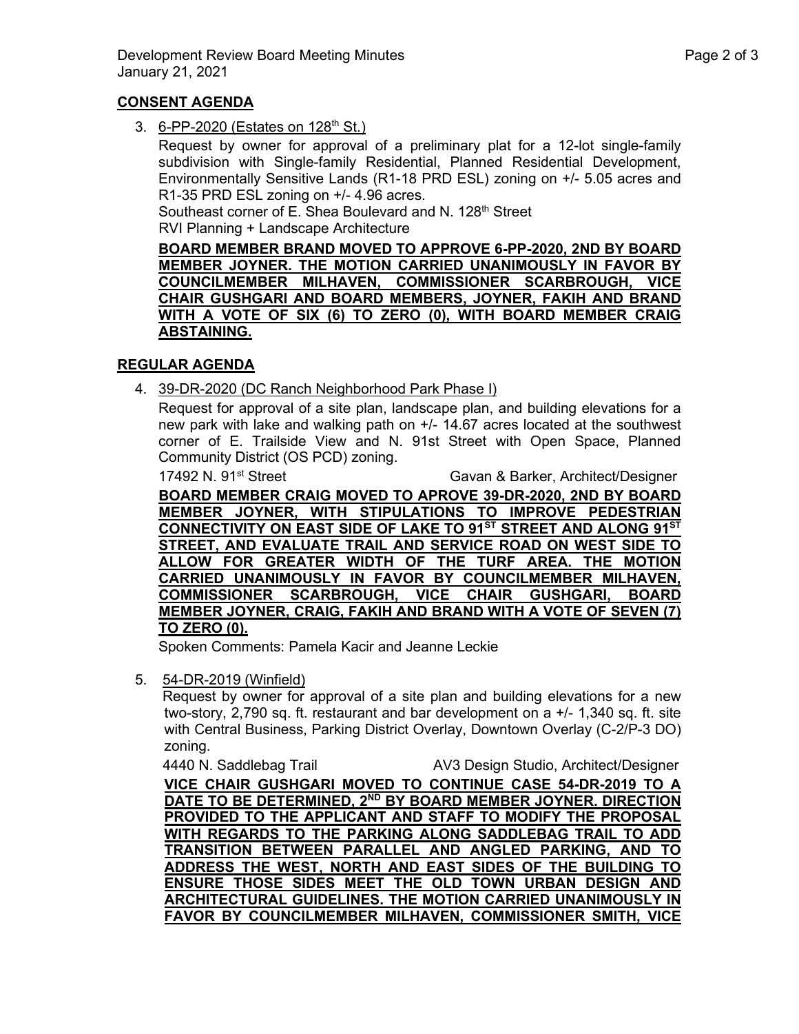# **CONSENT AGENDA**

3. 6-PP-2020 (Estates on 128<sup>th</sup> St.)

Request by owner for approval of a preliminary plat for a 12-lot single-family subdivision with Single-family Residential, Planned Residential Development, Environmentally Sensitive Lands (R1-18 PRD ESL) zoning on +/- 5.05 acres and R1-35 PRD ESL zoning on +/- 4.96 acres.

Southeast corner of E. Shea Boulevard and N. 128<sup>th</sup> Street

RVI Planning + Landscape Architecture

**BOARD MEMBER BRAND MOVED TO APPROVE 6-PP-2020, 2ND BY BOARD MEMBER JOYNER. THE MOTION CARRIED UNANIMOUSLY IN FAVOR BY COUNCILMEMBER MILHAVEN, COMMISSIONER SCARBROUGH, VICE CHAIR GUSHGARI AND BOARD MEMBERS, JOYNER, FAKIH AND BRAND WITH A VOTE OF SIX (6) TO ZERO (0), WITH BOARD MEMBER CRAIG ABSTAINING.**

# **REGULAR AGENDA**

4. 39-DR-2020 (DC Ranch Neighborhood Park Phase I)

Request for approval of a site plan, landscape plan, and building elevations for a new park with lake and walking path on +/- 14.67 acres located at the southwest corner of E. Trailside View and N. 91st Street with Open Space, Planned Community District (OS PCD) zoning.

17492 N. 91<sup>st</sup> Street Gavan & Barker, Architect/Designer

**BOARD MEMBER CRAIG MOVED TO APROVE 39-DR-2020, 2ND BY BOARD MEMBER JOYNER, WITH STIPULATIONS TO IMPROVE PEDESTRIAN CONNECTIVITY ON EAST SIDE OF LAKE TO 91ST STREET AND ALONG 91ST STREET, AND EVALUATE TRAIL AND SERVICE ROAD ON WEST SIDE TO ALLOW FOR GREATER WIDTH OF THE TURF AREA. THE MOTION CARRIED UNANIMOUSLY IN FAVOR BY COUNCILMEMBER MILHAVEN, COMMISSIONER SCARBROUGH, VICE CHAIR GUSHGARI, BOARD MEMBER JOYNER, CRAIG, FAKIH AND BRAND WITH A VOTE OF SEVEN (7) TO ZERO (0).**

Spoken Comments: Pamela Kacir and Jeanne Leckie

5. 54-DR-2019 (Winfield)

Request by owner for approval of a site plan and building elevations for a new two-story, 2,790 sq. ft. restaurant and bar development on  $a +/- 1.340$  sq. ft. site with Central Business, Parking District Overlay, Downtown Overlay (C-2/P-3 DO) zoning.

4440 N. Saddlebag Trail AV3 Design Studio, Architect/Designer **VICE CHAIR GUSHGARI MOVED TO CONTINUE CASE 54-DR-2019 TO A DATE TO BE DETERMINED, 2ND BY BOARD MEMBER JOYNER. DIRECTION PROVIDED TO THE APPLICANT AND STAFF TO MODIFY THE PROPOSAL WITH REGARDS TO THE PARKING ALONG SADDLEBAG TRAIL TO ADD TRANSITION BETWEEN PARALLEL AND ANGLED PARKING, AND TO ADDRESS THE WEST, NORTH AND EAST SIDES OF THE BUILDING TO ENSURE THOSE SIDES MEET THE OLD TOWN URBAN DESIGN AND ARCHITECTURAL GUIDELINES. THE MOTION CARRIED UNANIMOUSLY IN FAVOR BY COUNCILMEMBER MILHAVEN, COMMISSIONER SMITH, VICE**